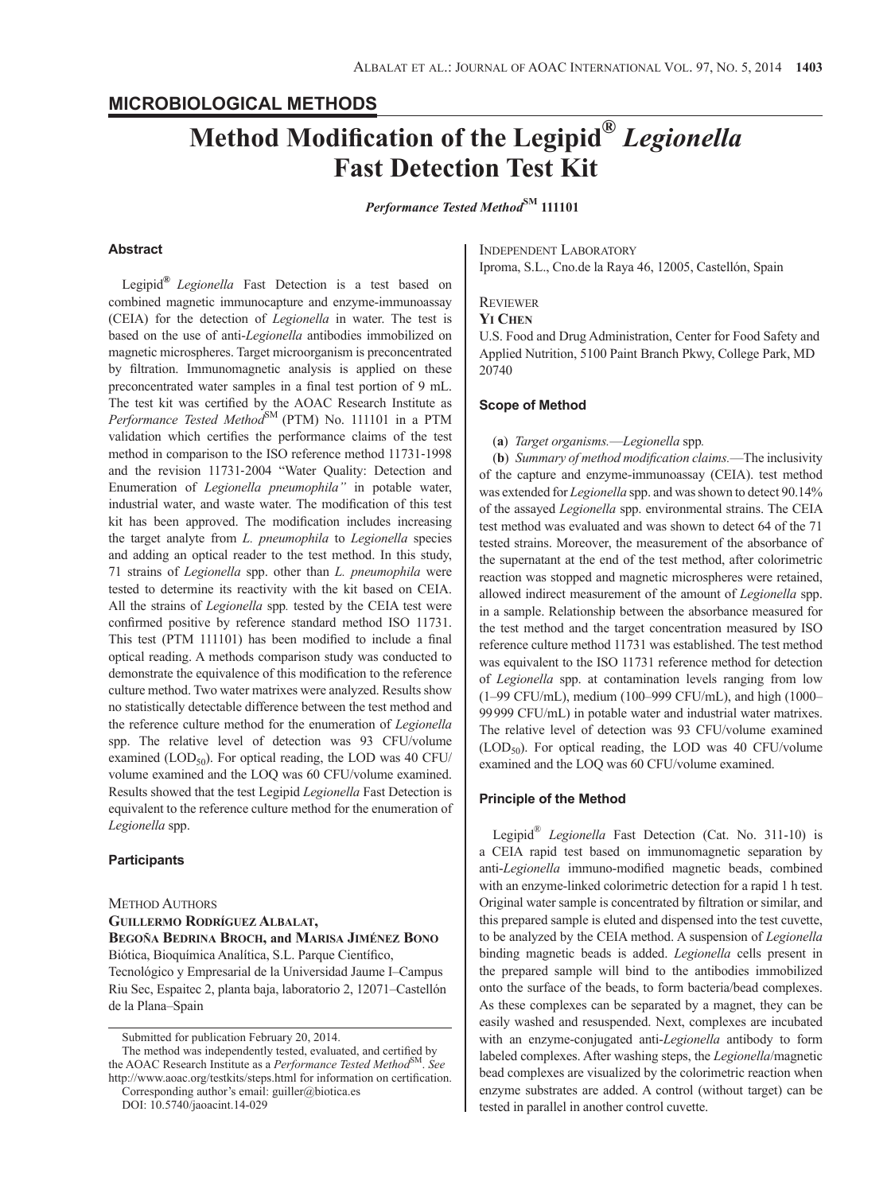# **Method Modification of the Legipid®** *Legionella* **Fast Detection Test Kit**

*Performance Tested Method***SM 111101**

# **Abstract**

Legipid**®** *Legionella* Fast Detection is a test based on combined magnetic immunocapture and enzyme-immunoassay (CEIA) for the detection of *Legionella* in water. The test is based on the use of anti-*Legionella* antibodies immobilized on magnetic microspheres. Target microorganism is preconcentrated by filtration. Immunomagnetic analysis is applied on these preconcentrated water samples in a final test portion of 9 mL. The test kit was certified by the AOAC Research Institute as Performance Tested Method<sup>SM</sup> (PTM) No. 111101 in a PTM validation which certifies the performance claims of the test method in comparison to the ISO reference method 11731-1998 and the revision 11731-2004 "Water Quality: Detection and Enumeration of *Legionella pneumophila"* in potable water, industrial water, and waste water. The modification of this test kit has been approved. The modification includes increasing the target analyte from *L. pneumophila* to *Legionella* species and adding an optical reader to the test method. In this study, 71 strains of *Legionella* spp. other than *L. pneumophila* were tested to determine its reactivity with the kit based on CEIA. All the strains of *Legionella* spp*.* tested by the CEIA test were confirmed positive by reference standard method ISO 11731. This test (PTM 111101) has been modified to include a final optical reading. A methods comparison study was conducted to demonstrate the equivalence of this modification to the reference culture method. Two water matrixes were analyzed. Results show no statistically detectable difference between the test method and the reference culture method for the enumeration of *Legionella*  spp. The relative level of detection was 93 CFU/volume examined (LOD $_{50}$ ). For optical reading, the LOD was 40 CFU/ volume examined and the LOQ was 60 CFU/volume examined. Results showed that the test Legipid *Legionella* Fast Detection is equivalent to the reference culture method for the enumeration of *Legionella* spp.

# **Participants**

Method Authors **Guillermo Rodríguez Albalat, Begoña Bedrina Broch, and Marisa Jiménez Bono** Biótica, Bioquímica Analítica, S.L. Parque Científico, Tecnológico y Empresarial de la Universidad Jaume I–Campus Riu Sec, Espaitec 2, planta baja, laboratorio 2, 12071–Castellón de la Plana–Spain

Submitted for publication February 20, 2014.

Corresponding author's email: guiller@biotica.es

Independent Laboratory

Iproma, S.L., Cno.de la Raya 46, 12005, Castellón, Spain

## **REVIEWER**

#### **Yi Chen**

U.S. Food and Drug Administration, Center for Food Safety and Applied Nutrition, 5100 Paint Branch Pkwy, College Park, MD 20740

# **Scope of Method**

#### (**a**) *Target organisms.*—*Legionella* spp*.*

(**b**) *Summary of method modification claims.*—The inclusivity of the capture and enzyme-immunoassay (CEIA). test method was extended for *Legionella* spp. and was shown to detect 90.14% of the assayed *Legionella* spp. environmental strains. The CEIA test method was evaluated and was shown to detect 64 of the 71 tested strains. Moreover, the measurement of the absorbance of the supernatant at the end of the test method, after colorimetric reaction was stopped and magnetic microspheres were retained, allowed indirect measurement of the amount of *Legionella* spp. in a sample. Relationship between the absorbance measured for the test method and the target concentration measured by ISO reference culture method 11731 was established. The test method was equivalent to the ISO 11731 reference method for detection of *Legionella* spp. at contamination levels ranging from low (1–99 CFU/mL), medium (100–999 CFU/mL), and high (1000– 99999 CFU/mL) in potable water and industrial water matrixes. The relative level of detection was 93 CFU/volume examined  $(LOD<sub>50</sub>)$ . For optical reading, the LOD was 40 CFU/volume examined and the LOQ was 60 CFU/volume examined.

# **Principle of the Method**

Legipid® *Legionella* Fast Detection (Cat. No. 311-10) is a CEIA rapid test based on immunomagnetic separation by anti-*Legionella* immuno-modified magnetic beads, combined with an enzyme-linked colorimetric detection for a rapid 1 h test. Original water sample is concentrated by filtration or similar, and this prepared sample is eluted and dispensed into the test cuvette, to be analyzed by the CEIA method. A suspension of *Legionella*  binding magnetic beads is added. *Legionella* cells present in the prepared sample will bind to the antibodies immobilized onto the surface of the beads, to form bacteria/bead complexes. As these complexes can be separated by a magnet, they can be easily washed and resuspended. Next, complexes are incubated with an enzyme-conjugated anti-*Legionella* antibody to form labeled complexes. After washing steps, the *Legionella*/magnetic bead complexes are visualized by the colorimetric reaction when enzyme substrates are added. A control (without target) can be tested in parallel in another control cuvette.

The method was independently tested, evaluated, and certified by the AOAC Research Institute as a *Performance Tested Method*<sup>SM</sup>. See http://www.aoac.org/testkits/steps.html for information on certification.

DOI: 10.5740/jaoacint.14-029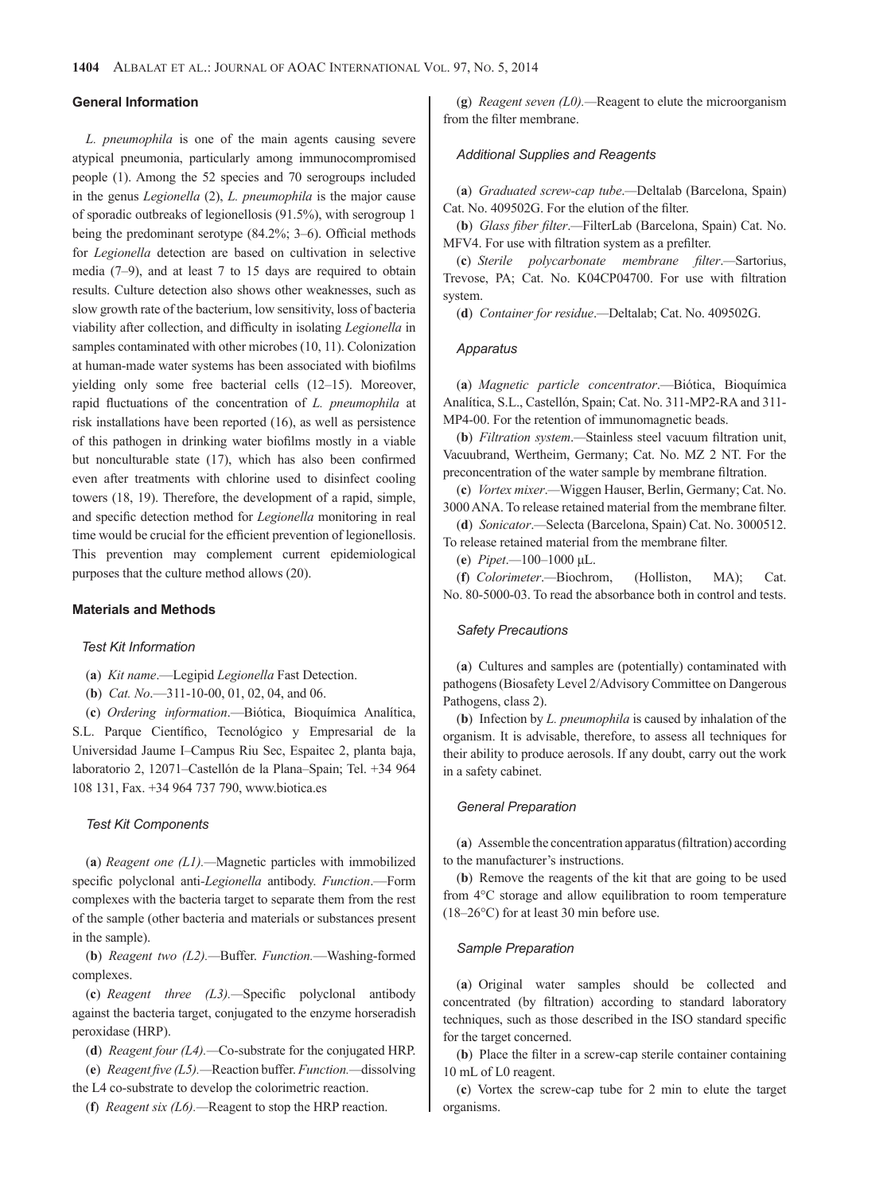#### **General Information**

*L. pneumophila* is one of the main agents causing severe atypical pneumonia, particularly among immunocompromised people (1). Among the 52 species and 70 serogroups included in the genus *Legionella* (2), *L. pneumophila* is the major cause of sporadic outbreaks of legionellosis (91.5%), with serogroup 1 being the predominant serotype (84.2%; 3–6). Official methods for *Legionella* detection are based on cultivation in selective media (7–9), and at least 7 to 15 days are required to obtain results. Culture detection also shows other weaknesses, such as slow growth rate of the bacterium, low sensitivity, loss of bacteria viability after collection, and difficulty in isolating *Legionella* in samples contaminated with other microbes (10, 11). Colonization at human-made water systems has been associated with biofilms yielding only some free bacterial cells (12–15). Moreover, rapid fluctuations of the concentration of *L. pneumophila* at risk installations have been reported (16), as well as persistence of this pathogen in drinking water biofilms mostly in a viable but nonculturable state (17), which has also been confirmed even after treatments with chlorine used to disinfect cooling towers (18, 19). Therefore, the development of a rapid, simple, and specific detection method for *Legionella* monitoring in real time would be crucial for the efficient prevention of legionellosis. This prevention may complement current epidemiological purposes that the culture method allows (20).

# **Materials and Methods**

#### *Test Kit Information*

- (**a**) *Kit name*.—Legipid *Legionella* Fast Detection.
- (**b**) *Cat. No*.—311-10-00, 01, 02, 04, and 06.

(**c**) *Ordering information*.—Biótica, Bioquímica Analítica, S.L. Parque Científico, Tecnológico y Empresarial de la Universidad Jaume I–Campus Riu Sec, Espaitec 2, planta baja, laboratorio 2, 12071–Castellón de la Plana–Spain; Tel. +34 964 108 131, Fax. +34 964 737 790, www.biotica.es

#### *Test Kit Components*

(**a**) *Reagent one (L1).—*Magnetic particles with immobilized specific polyclonal anti*-Legionella* antibody. *Function*.—Form complexes with the bacteria target to separate them from the rest of the sample (other bacteria and materials or substances present in the sample).

(**b**) *Reagent two (L2).—*Buffer. *Function.*—Washing-formed complexes.

(**c**) *Reagent three (L3).—*Specific polyclonal antibody against the bacteria target, conjugated to the enzyme horseradish peroxidase (HRP).

(**d**) *Reagent four (L4).—*Co-substrate for the conjugated HRP.

(**e**) *Reagent five (L5).—*Reaction buffer. *Function.—*dissolving the L4 co-substrate to develop the colorimetric reaction.

(**f**) *Reagent six (L6).—*Reagent to stop the HRP reaction.

(**g**) *Reagent seven (L0).—*Reagent to elute the microorganism from the filter membrane.

#### *Additional Supplies and Reagents*

(**a**) *Graduated screw-cap tube*.*—*Deltalab (Barcelona, Spain) Cat. No. 409502G. For the elution of the filter.

(**b**) *Glass fiber filter*.*—*FilterLab (Barcelona, Spain) Cat. No. MFV4. For use with filtration system as a prefilter.

(**c**) *Sterile polycarbonate membrane filter*.*—*Sartorius, Trevose, PA; Cat. No. K04CP04700. For use with filtration system.

(**d**) *Container for residue*.*—*Deltalab; Cat. No. 409502G.

## *Apparatus*

(**a**) *Magnetic particle concentrator*.—Biótica, Bioquímica Analítica, S.L., Castellón, Spain; Cat. No. 311-MP2-RA and 311- MP4-00. For the retention of immunomagnetic beads.

(**b**) *Filtration system*.*—*Stainless steel vacuum filtration unit, Vacuubrand, Wertheim, Germany; Cat. No. MZ 2 NT. For the preconcentration of the water sample by membrane filtration.

(**c**) *Vortex mixer*.*—*Wiggen Hauser, Berlin, Germany; Cat. No. 3000 ANA. To release retained material from the membrane filter.

(**d**) *Sonicator*.*—*Selecta (Barcelona, Spain) Cat. No. 3000512. To release retained material from the membrane filter.

(**e**) *Pipet*.*—*100–1000 μL.

(**f**) *Colorimeter*.*—*Biochrom, (Holliston, MA); Cat. No. 80-5000-03. To read the absorbance both in control and tests.

# *Safety Precautions*

(**a**) Cultures and samples are (potentially) contaminated with pathogens (Biosafety Level 2/Advisory Committee on Dangerous Pathogens, class 2).

(**b**) Infection by *L. pneumophila* is caused by inhalation of the organism. It is advisable, therefore, to assess all techniques for their ability to produce aerosols. If any doubt, carry out the work in a safety cabinet.

## *General Preparation*

(**a**) Assemble the concentration apparatus (filtration) according to the manufacturer's instructions.

(**b**) Remove the reagents of the kit that are going to be used from 4°C storage and allow equilibration to room temperature (18–26°C) for at least 30 min before use.

# *Sample Preparation*

(**a**) Original water samples should be collected and concentrated (by filtration) according to standard laboratory techniques, such as those described in the ISO standard specific for the target concerned.

(**b**) Place the filter in a screw-cap sterile container containing 10 mL of L0 reagent.

(**c**) Vortex the screw-cap tube for 2 min to elute the target organisms.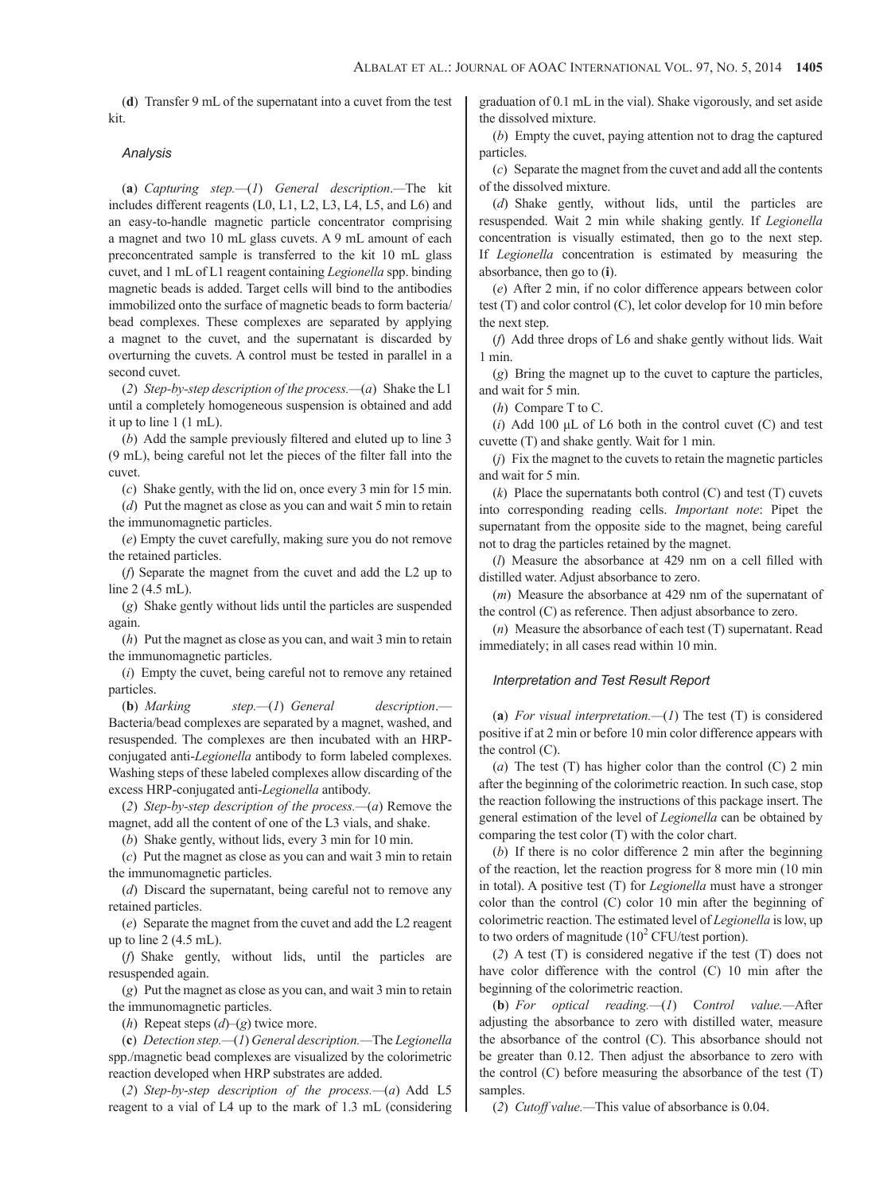(**d**) Transfer 9 mL of the supernatant into a cuvet from the test kit.

#### *Analysis*

(**a**) *Capturing step.—*(*1*) *General description*.*—*The kit includes different reagents (L0, L1, L2, L3, L4, L5, and L6) and an easy-to-handle magnetic particle concentrator comprising a magnet and two 10 mL glass cuvets. A 9 mL amount of each preconcentrated sample is transferred to the kit 10 mL glass cuvet, and 1 mL of L1 reagent containing *Legionella* spp. binding magnetic beads is added. Target cells will bind to the antibodies immobilized onto the surface of magnetic beads to form bacteria/ bead complexes. These complexes are separated by applying a magnet to the cuvet, and the supernatant is discarded by overturning the cuvets. A control must be tested in parallel in a second cuvet.

(*2*) *Step-by-step description of the process.—*(*a*) Shake the L1 until a completely homogeneous suspension is obtained and add it up to line 1 (1 mL).

(*b*) Add the sample previously filtered and eluted up to line 3 (9 mL), being careful not let the pieces of the filter fall into the cuvet.

(*c*) Shake gently, with the lid on, once every 3 min for 15 min.

(*d*) Put the magnet as close as you can and wait 5 min to retain the immunomagnetic particles.

(*e*) Empty the cuvet carefully, making sure you do not remove the retained particles.

(*f*) Separate the magnet from the cuvet and add the L2 up to line 2 (4.5 mL).

(*g*) Shake gently without lids until the particles are suspended again.

(*h*) Put the magnet as close as you can, and wait 3 min to retain the immunomagnetic particles.

(*i*) Empty the cuvet, being careful not to remove any retained particles.

(**b**) *Marking step.—*(*1*) *General description*.— Bacteria/bead complexes are separated by a magnet, washed, and resuspended. The complexes are then incubated with an HRPconjugated anti-*Legionella* antibody to form labeled complexes. Washing steps of these labeled complexes allow discarding of the excess HRP-conjugated anti-*Legionella* antibody.

(*2*) *Step-by-step description of the process.—*(*a*) Remove the magnet, add all the content of one of the L3 vials, and shake.

(*b*) Shake gently, without lids, every 3 min for 10 min.

(*c*) Put the magnet as close as you can and wait 3 min to retain the immunomagnetic particles.

(*d*) Discard the supernatant, being careful not to remove any retained particles.

(*e*) Separate the magnet from the cuvet and add the L2 reagent up to line  $2(4.5 \text{ mL})$ .

(*f*) Shake gently, without lids, until the particles are resuspended again.

(*g*) Put the magnet as close as you can, and wait 3 min to retain the immunomagnetic particles.

(*h*) Repeat steps (*d*)–(*g*) twice more.

(**c**) *Detection step.—*(*1*) *General description.—*The *Legionella*  spp./magnetic bead complexes are visualized by the colorimetric reaction developed when HRP substrates are added.

(*2*) *Step-by-step description of the process.—*(*a*) Add L5 reagent to a vial of L4 up to the mark of 1.3 mL (considering graduation of 0.1 mL in the vial). Shake vigorously, and set aside the dissolved mixture.

(*b*) Empty the cuvet, paying attention not to drag the captured particles.

(*c*) Separate the magnet from the cuvet and add all the contents of the dissolved mixture.

(*d*) Shake gently, without lids, until the particles are resuspended. Wait 2 min while shaking gently. If *Legionella* concentration is visually estimated, then go to the next step. If *Legionella* concentration is estimated by measuring the absorbance, then go to (**i**).

(*e*) After 2 min, if no color difference appears between color test (T) and color control (C), let color develop for 10 min before the next step.

(*f*) Add three drops of L6 and shake gently without lids. Wait 1 min.

(*g*) Bring the magnet up to the cuvet to capture the particles, and wait for 5 min.

(*h*) Compare T to C.

(*i*) Add 100 μL of L6 both in the control cuvet (C) and test cuvette (T) and shake gently. Wait for 1 min.

(*j*) Fix the magnet to the cuvets to retain the magnetic particles and wait for 5 min.

(*k*) Place the supernatants both control (C) and test (T) cuvets into corresponding reading cells. *Important note*: Pipet the supernatant from the opposite side to the magnet, being careful not to drag the particles retained by the magnet.

(*l*) Measure the absorbance at 429 nm on a cell filled with distilled water. Adjust absorbance to zero.

(*m*) Measure the absorbance at 429 nm of the supernatant of the control (C) as reference. Then adjust absorbance to zero.

(*n*) Measure the absorbance of each test (T) supernatant. Read immediately; in all cases read within 10 min.

# *Interpretation and Test Result Report*

(**a**) *For visual interpretation.—*(*1*) The test (T) is considered positive if at 2 min or before 10 min color difference appears with the control (C).

(*a*) The test (T) has higher color than the control (C) 2 min after the beginning of the colorimetric reaction. In such case, stop the reaction following the instructions of this package insert. The general estimation of the level of *Legionella* can be obtained by comparing the test color (T) with the color chart.

(*b*) If there is no color difference 2 min after the beginning of the reaction, let the reaction progress for 8 more min (10 min in total). A positive test (T) for *Legionella* must have a stronger color than the control (C) color 10 min after the beginning of colorimetric reaction. The estimated level of *Legionella* is low, up to two orders of magnitude  $(10^2 \text{ CFU/test portion}).$ 

(*2*) A test (T) is considered negative if the test (T) does not have color difference with the control (C) 10 min after the beginning of the colorimetric reaction.

(**b**) *For optical reading.—*(*1*) C*ontrol value.—*After adjusting the absorbance to zero with distilled water, measure the absorbance of the control (C). This absorbance should not be greater than 0.12. Then adjust the absorbance to zero with the control  $(C)$  before measuring the absorbance of the test  $(T)$ samples.

(*2*) *Cutoff value.—*This value of absorbance is 0.04.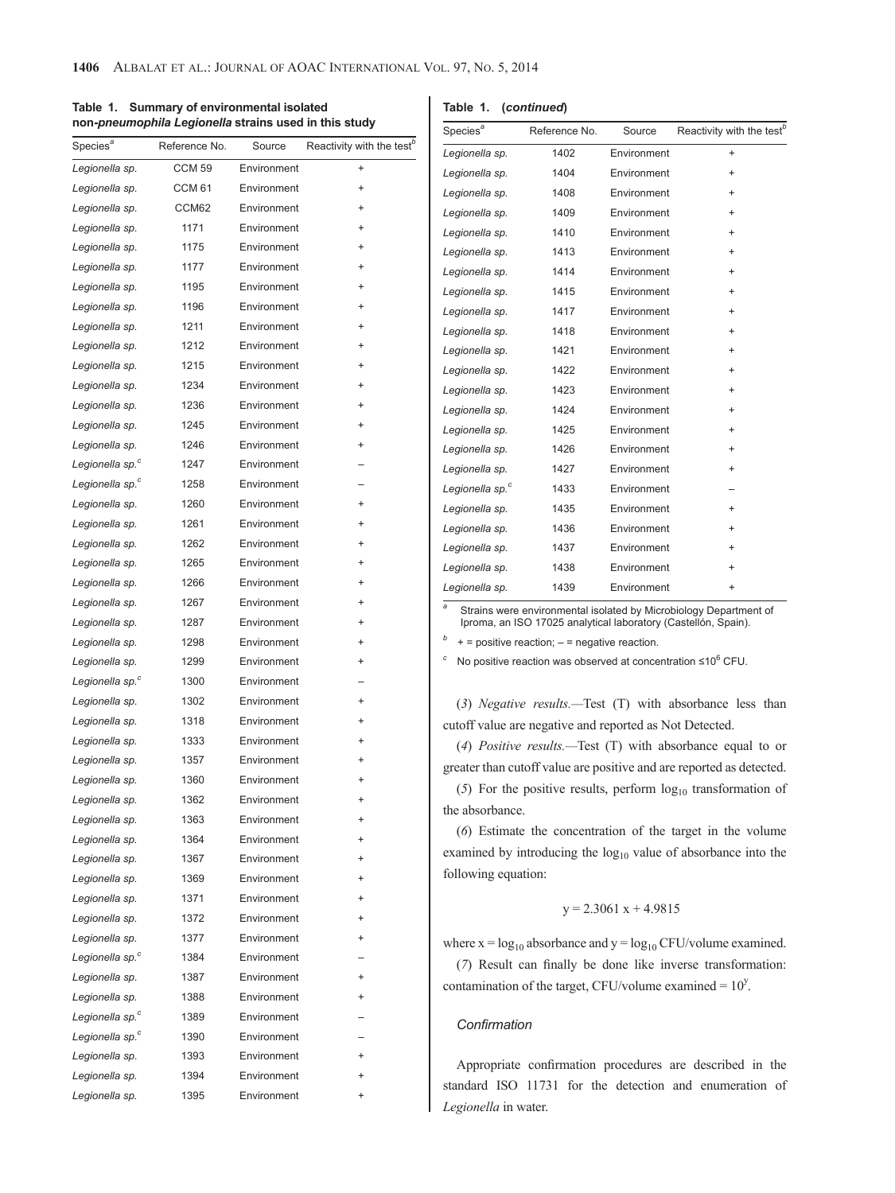| Table 1. Summary of environmental isolated            |
|-------------------------------------------------------|
| non-pneumophila Legionella strains used in this study |

**Table 1. (***continued***)**

| Species <sup>a</sup>        | Reference No. | Source      | Reactivity with the test <sup>b</sup> |
|-----------------------------|---------------|-------------|---------------------------------------|
| Legionella sp.              | <b>CCM 59</b> | Environment | $^{+}$                                |
| Legionella sp.              | <b>CCM 61</b> | Environment | $\ddot{}$                             |
| Legionella sp.              | CCM62         | Environment | $\ddot{}$                             |
| Legionella sp.              | 1171          | Environment | $\ddot{}$                             |
| Legionella sp.              | 1175          | Environment | $\ddot{}$                             |
| Legionella sp.              | 1177          | Environment | $\ddot{}$                             |
| Legionella sp.              | 1195          | Environment | $\ddot{}$                             |
| Legionella sp.              | 1196          | Environment | $\ddot{}$                             |
| Legionella sp.              | 1211          | Environment | $\ddot{}$                             |
| Legionella sp.              | 1212          | Environment | $\ddot{}$                             |
| Legionella sp.              | 1215          | Environment | $\ddot{}$                             |
| Legionella sp.              | 1234          | Environment | $\ddot{}$                             |
| Legionella sp.              | 1236          | Environment | $\ddot{}$                             |
| Legionella sp.              | 1245          | Environment | $\ddot{}$                             |
| Legionella sp.              | 1246          | Environment | +                                     |
| Legionella sp. <sup>c</sup> | 1247          | Environment |                                       |
| Legionella sp. <sup>c</sup> | 1258          | Environment |                                       |
| Legionella sp.              | 1260          | Environment | $\ddot{}$                             |
| Legionella sp.              | 1261          | Environment | $\ddot{}$                             |
| Legionella sp.              | 1262          | Environment | $\ddot{}$                             |
| Legionella sp.              | 1265          | Environment | $\ddot{}$                             |
| Legionella sp.              | 1266          | Environment | $\ddot{}$                             |
| Legionella sp.              | 1267          | Environment | $\ddot{}$                             |
| Legionella sp.              | 1287          | Environment | $\ddot{}$                             |
| Legionella sp.              | 1298          | Environment | $\ddot{}$                             |
| Legionella sp.              | 1299          | Environment | $\ddot{}$                             |
| Legionella sp. <sup>c</sup> | 1300          | Environment |                                       |
| Legionella sp.              | 1302          | Environment | $\ddot{}$                             |
| Legionella sp.              | 1318          | Environment | $\ddot{}$                             |
| Legionella sp.              | 1333          | Environment |                                       |
| Legionella sp.              | 1357          | Environment | $\ddot{}$                             |
| Legionella sp.              | 1360          | Environment | $\ddot{}$                             |
| Legionella sp.              | 1362          | Environment | $\ddot{}$                             |
| Legionella sp.              | 1363          | Environment | +                                     |
| Legionella sp.              | 1364          | Environment |                                       |
| Legionella sp.              | 1367          | Environment |                                       |
| Legionella sp.              | 1369          | Environment |                                       |
| Legionella sp.              | 1371          | Environment | $\ddot{}$                             |
| Legionella sp.              | 1372          | Environment |                                       |
| Legionella sp.              | 1377          | Environment |                                       |
| Legionella sp. <sup>c</sup> | 1384          | Environment |                                       |
| Legionella sp.              | 1387          | Environment | $\ddot{}$                             |
| Legionella sp.              | 1388          | Environment | $\ddot{}$                             |
| Legionella sp. <sup>c</sup> | 1389          | Environment |                                       |
| Legionella sp. <sup>c</sup> | 1390          | Environment |                                       |
| Legionella sp.              | 1393          | Environment |                                       |
| Legionella sp.              | 1394          | Environment | $\ddot{}$                             |
| Legionella sp.              | 1395          | Environment | +                                     |

| Species <sup>a</sup>        | Reference No. | Source      | Reactivity with the test <sup>b</sup> |
|-----------------------------|---------------|-------------|---------------------------------------|
| Legionella sp.              | 1402          | Environment | $\ddot{}$                             |
| Legionella sp.              | 1404          | Environment | $\ddot{}$                             |
| Legionella sp.              | 1408          | Environment | $\ddot{}$                             |
| Legionella sp.              | 1409          | Environment | $\ddot{}$                             |
| Legionella sp.              | 1410          | Environment | $\ddot{}$                             |
| Legionella sp.              | 1413          | Environment | $+$                                   |
| Legionella sp.              | 1414          | Environment | $\ddot{}$                             |
| Legionella sp.              | 1415          | Environment | $\ddot{}$                             |
| Legionella sp.              | 1417          | Environment | $\ddot{}$                             |
| Legionella sp.              | 1418          | Environment | $\ddot{}$                             |
| Legionella sp.              | 1421          | Environment | $\ddot{}$                             |
| Legionella sp.              | 1422          | Environment | $+$                                   |
| Legionella sp.              | 1423          | Environment | $\ddot{}$                             |
| Legionella sp.              | 1424          | Environment | $\ddot{}$                             |
| Legionella sp.              | 1425          | Environment | $\ddot{}$                             |
| Legionella sp.              | 1426          | Environment | $\ddot{}$                             |
| Legionella sp.              | 1427          | Environment | $\ddot{}$                             |
| Legionella sp. <sup>c</sup> | 1433          | Environment |                                       |
| Legionella sp.              | 1435          | Environment | $\ddot{}$                             |
| Legionella sp.              | 1436          | Environment | $\ddot{}$                             |
| Legionella sp.              | 1437          | Environment | $\ddot{}$                             |
| Legionella sp.              | 1438          | Environment | $+$                                   |
| Legionella sp.              | 1439          | Environment | $\ddot{}$                             |

*<sup>a</sup>* Strains were environmental isolated by Microbiology Department of Iproma, an ISO 17025 analytical laboratory (Castellón, Spain).

*b* + = positive reaction; – = negative reaction.

*<sup>c</sup>* No positive reaction was observed at concentration ≤10<sup>6</sup> CFU.

(*3*) *Negative results.—*Test (T) with absorbance less than cutoff value are negative and reported as Not Detected.

(*4*) *Positive results.—*Test (T) with absorbance equal to or greater than cutoff value are positive and are reported as detected.

(5) For the positive results, perform  $log_{10}$  transformation of the absorbance.

(*6*) Estimate the concentration of the target in the volume examined by introducing the  $log_{10}$  value of absorbance into the following equation:

# $y = 2.3061 x + 4.9815$

where  $x = log_{10}$  absorbance and  $y = log_{10}$  CFU/volume examined. (*7*) Result can finally be done like inverse transformation: contamination of the target, CFU/volume examined =  $10<sup>y</sup>$ .

# *Confirmation*

Appropriate confirmation procedures are described in the standard ISO 11731 for the detection and enumeration of *Legionella* in water.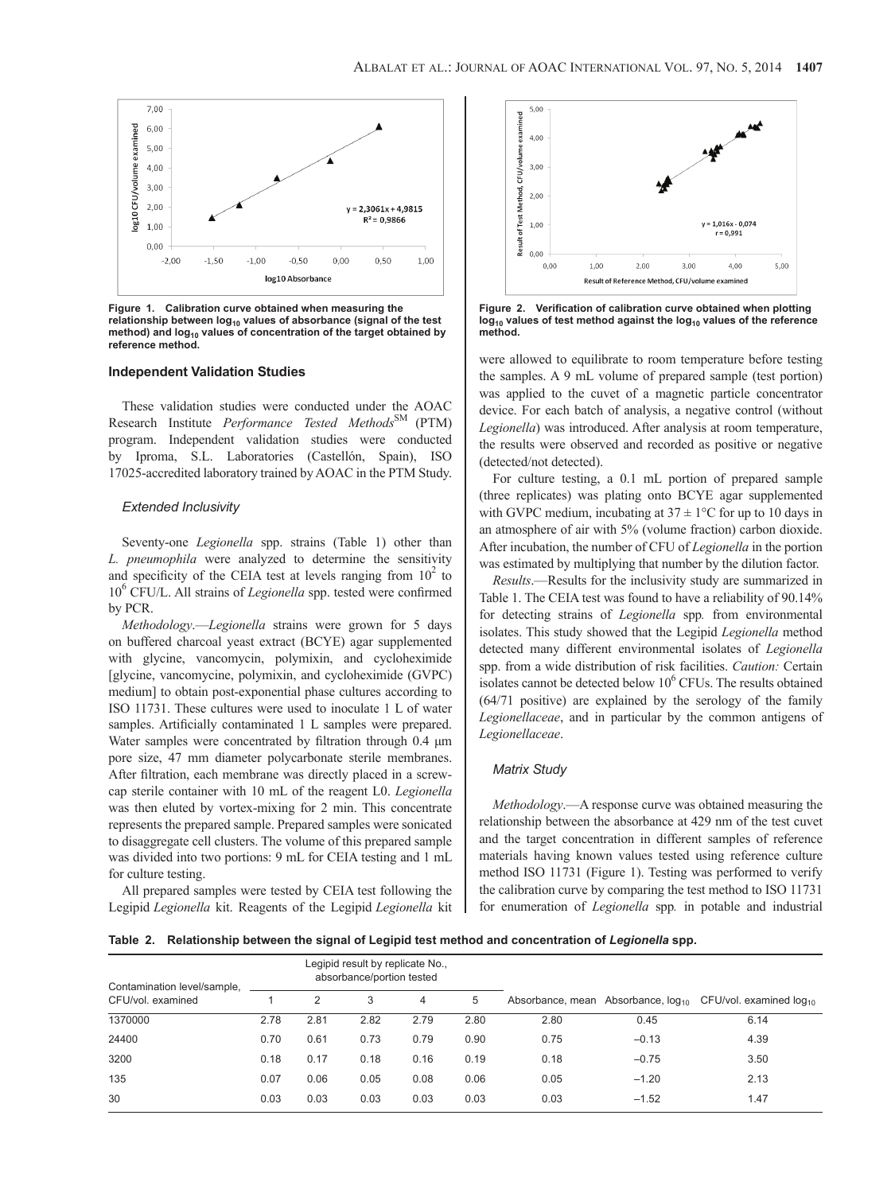

**Figure 1. Calibration curve obtained when measuring the**  relationship between log<sub>10</sub> values of absorbance (signal of the test method) and log<sub>10</sub> values of concentration of the target obtained by **reference method.**

## **Independent Validation Studies**

These validation studies were conducted under the AOAC Research Institute *Performance Tested Methods*SM (PTM) program. Independent validation studies were conducted by Iproma, S.L. Laboratories (Castellón, Spain), ISO 17025-accredited laboratory trained by AOAC in the PTM Study.

#### *Extended Inclusivity*

Seventy-one *Legionella* spp. strains (Table 1) other than *L. pneumophila* were analyzed to determine the sensitivity and specificity of the CEIA test at levels ranging from  $10^2$  to 10<sup>6</sup> CFU/L. All strains of *Legionella* spp. tested were confirmed by PCR.

*Methodology*.—*Legionella* strains were grown for 5 days on buffered charcoal yeast extract (BCYE) agar supplemented with glycine, vancomycin, polymixin, and cycloheximide [glycine, vancomycine, polymixin, and cycloheximide (GVPC) medium] to obtain post-exponential phase cultures according to ISO 11731. These cultures were used to inoculate 1 L of water samples. Artificially contaminated 1 L samples were prepared. Water samples were concentrated by filtration through 0.4 μm pore size, 47 mm diameter polycarbonate sterile membranes. After filtration, each membrane was directly placed in a screwcap sterile container with 10 mL of the reagent L0. *Legionella*  was then eluted by vortex-mixing for 2 min. This concentrate represents the prepared sample. Prepared samples were sonicated to disaggregate cell clusters. The volume of this prepared sample was divided into two portions: 9 mL for CEIA testing and 1 mL for culture testing.

All prepared samples were tested by CEIA test following the Legipid *Legionella* kit. Reagents of the Legipid *Legionella* kit



Figure 2. Verification of calibration curve obtained when plotting log<sub>10</sub> values of test method against the log<sub>10</sub> values of the reference **method.**

were allowed to equilibrate to room temperature before testing the samples. A 9 mL volume of prepared sample (test portion) was applied to the cuvet of a magnetic particle concentrator device. For each batch of analysis, a negative control (without *Legionella*) was introduced. After analysis at room temperature, the results were observed and recorded as positive or negative (detected/not detected).

For culture testing, a 0.1 mL portion of prepared sample (three replicates) was plating onto BCYE agar supplemented with GVPC medium, incubating at  $37 \pm 1$ °C for up to 10 days in an atmosphere of air with 5% (volume fraction) carbon dioxide. After incubation, the number of CFU of *Legionella* in the portion was estimated by multiplying that number by the dilution factor.

*Results*.—Results for the inclusivity study are summarized in Table 1. The CEIA test was found to have a reliability of 90.14% for detecting strains of *Legionella* spp*.* from environmental isolates. This study showed that the Legipid *Legionella* method detected many different environmental isolates of *Legionella*  spp. from a wide distribution of risk facilities. *Caution:* Certain isolates cannot be detected below  $10^6$  CFUs. The results obtained (64/71 positive) are explained by the serology of the family *Legionellaceae*, and in particular by the common antigens of *Legionellaceae*.

## *Matrix Study*

*Methodology*.—A response curve was obtained measuring the relationship between the absorbance at 429 nm of the test cuvet and the target concentration in different samples of reference materials having known values tested using reference culture method ISO 11731 (Figure 1). Testing was performed to verify the calibration curve by comparing the test method to ISO 11731 for enumeration of *Legionella* spp*.* in potable and industrial

Table 2. Relationship between the signal of Legipid test method and concentration of Legionella spp.

| Contamination level/sample, | Legipid result by replicate No.,<br>absorbance/portion tested |      |      |      |      |      |         |                                                                      |  |
|-----------------------------|---------------------------------------------------------------|------|------|------|------|------|---------|----------------------------------------------------------------------|--|
| CFU/vol. examined           |                                                               | 2    | 3    | 4    | 5    |      |         | Absorbance, mean Absorbance, $log_{10}$ CFU/vol. examined $log_{10}$ |  |
| 1370000                     | 2.78                                                          | 2.81 | 2.82 | 2.79 | 2.80 | 2.80 | 0.45    | 6.14                                                                 |  |
| 24400                       | 0.70                                                          | 0.61 | 0.73 | 0.79 | 0.90 | 0.75 | $-0.13$ | 4.39                                                                 |  |
| 3200                        | 0.18                                                          | 0.17 | 0.18 | 0.16 | 0.19 | 0.18 | $-0.75$ | 3.50                                                                 |  |
| 135                         | 0.07                                                          | 0.06 | 0.05 | 0.08 | 0.06 | 0.05 | $-1.20$ | 2.13                                                                 |  |
| 30                          | 0.03                                                          | 0.03 | 0.03 | 0.03 | 0.03 | 0.03 | $-1.52$ | 1.47                                                                 |  |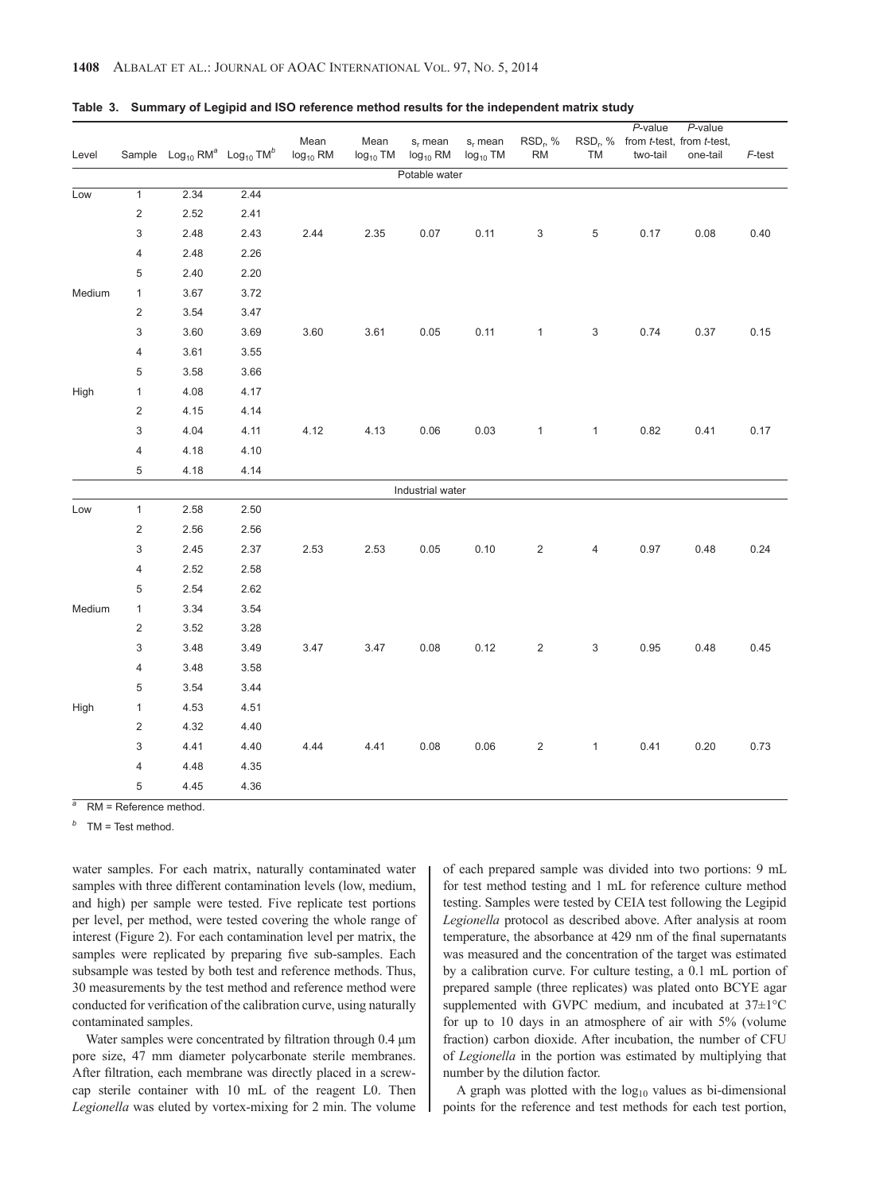| Level  |                         | Sample $Log_{10} RM^a$ Log <sub>10</sub> TM <sup>b</sup> |      | Mean<br>$log_{10}$ RM | Mean<br>$log_{10}$ TM | $s_r$ mean<br>$log_{10}$ RM | $s_r$ mean<br>$log_{10}$ TM | RSD <sub>r</sub> , %<br><b>RM</b> | TM           | $P$ -value<br>RSD <sub>r</sub> , % from t-test, from t-test,<br>two-tail | P-value<br>one-tail | F-test |
|--------|-------------------------|----------------------------------------------------------|------|-----------------------|-----------------------|-----------------------------|-----------------------------|-----------------------------------|--------------|--------------------------------------------------------------------------|---------------------|--------|
|        |                         |                                                          |      |                       |                       | Potable water               |                             |                                   |              |                                                                          |                     |        |
| Low    | $\overline{1}$          | 2.34                                                     | 2.44 |                       |                       |                             |                             |                                   |              |                                                                          |                     |        |
|        | $\sqrt{2}$              | 2.52                                                     | 2.41 |                       |                       |                             |                             |                                   |              |                                                                          |                     |        |
|        | 3                       | 2.48                                                     | 2.43 | 2.44                  | 2.35                  | 0.07                        | 0.11                        | 3                                 | $\,$ 5 $\,$  | 0.17                                                                     | 0.08                | 0.40   |
|        | 4                       | 2.48                                                     | 2.26 |                       |                       |                             |                             |                                   |              |                                                                          |                     |        |
|        | 5                       | 2.40                                                     | 2.20 |                       |                       |                             |                             |                                   |              |                                                                          |                     |        |
| Medium | $\mathbf{1}$            | 3.67                                                     | 3.72 |                       |                       |                             |                             |                                   |              |                                                                          |                     |        |
|        | $\sqrt{2}$              | 3.54                                                     | 3.47 |                       |                       |                             |                             |                                   |              |                                                                          |                     |        |
|        | 3                       | 3.60                                                     | 3.69 | 3.60                  | 3.61                  | 0.05                        | 0.11                        | $\mathbf{1}$                      | 3            | 0.74                                                                     | 0.37                | 0.15   |
|        | 4                       | 3.61                                                     | 3.55 |                       |                       |                             |                             |                                   |              |                                                                          |                     |        |
|        | 5                       | 3.58                                                     | 3.66 |                       |                       |                             |                             |                                   |              |                                                                          |                     |        |
| High   | $\mathbf{1}$            | 4.08                                                     | 4.17 |                       |                       |                             |                             |                                   |              |                                                                          |                     |        |
|        | $\overline{c}$          | 4.15                                                     | 4.14 |                       |                       |                             |                             |                                   |              |                                                                          |                     |        |
|        | 3                       | 4.04                                                     | 4.11 | 4.12                  | 4.13                  | 0.06                        | 0.03                        | $\mathbf{1}$                      | $\mathbf{1}$ | 0.82                                                                     | 0.41                | 0.17   |
|        | $\overline{4}$          | 4.18                                                     | 4.10 |                       |                       |                             |                             |                                   |              |                                                                          |                     |        |
|        | 5                       | 4.18                                                     | 4.14 |                       |                       |                             |                             |                                   |              |                                                                          |                     |        |
|        |                         |                                                          |      |                       |                       | Industrial water            |                             |                                   |              |                                                                          |                     |        |
| Low    | $\mathbf{1}$            | 2.58                                                     | 2.50 |                       |                       |                             |                             |                                   |              |                                                                          |                     |        |
|        | $\overline{c}$          | 2.56                                                     | 2.56 |                       |                       |                             |                             |                                   |              |                                                                          |                     |        |
|        | 3                       | 2.45                                                     | 2.37 | 2.53                  | 2.53                  | 0.05                        | 0.10                        | $\overline{c}$                    | 4            | 0.97                                                                     | 0.48                | 0.24   |
|        | 4                       | 2.52                                                     | 2.58 |                       |                       |                             |                             |                                   |              |                                                                          |                     |        |
|        | 5                       | 2.54                                                     | 2.62 |                       |                       |                             |                             |                                   |              |                                                                          |                     |        |
| Medium | $\mathbf{1}$            | 3.34                                                     | 3.54 |                       |                       |                             |                             |                                   |              |                                                                          |                     |        |
|        | $\overline{\mathbf{c}}$ | 3.52                                                     | 3.28 |                       |                       |                             |                             |                                   |              |                                                                          |                     |        |
|        | 3                       | 3.48                                                     | 3.49 | 3.47                  | 3.47                  | 0.08                        | 0.12                        | $\overline{2}$                    | 3            | 0.95                                                                     | 0.48                | 0.45   |
|        | $\overline{4}$          | 3.48                                                     | 3.58 |                       |                       |                             |                             |                                   |              |                                                                          |                     |        |
|        | 5                       | 3.54                                                     | 3.44 |                       |                       |                             |                             |                                   |              |                                                                          |                     |        |
| High   | $\mathbf{1}$            | 4.53                                                     | 4.51 |                       |                       |                             |                             |                                   |              |                                                                          |                     |        |
|        | $\mathbf 2$             | 4.32                                                     | 4.40 |                       |                       |                             |                             |                                   |              |                                                                          |                     |        |
|        | 3                       | 4.41                                                     | 4.40 | 4.44                  | 4.41                  | 0.08                        | 0.06                        | $\overline{\mathbf{c}}$           | $\mathbf{1}$ | 0.41                                                                     | 0.20                | 0.73   |
|        | 4                       | 4.48                                                     | 4.35 |                       |                       |                             |                             |                                   |              |                                                                          |                     |        |
|        | 5                       | 4.45                                                     | 4.36 |                       |                       |                             |                             |                                   |              |                                                                          |                     |        |

#### **Table 3. Summary of Legipid and ISO reference method results for the independent matrix study**

**RM** = Reference method.

*<sup>b</sup>* TM = Test method.

water samples. For each matrix, naturally contaminated water samples with three different contamination levels (low, medium, and high) per sample were tested. Five replicate test portions per level, per method, were tested covering the whole range of interest (Figure 2). For each contamination level per matrix, the samples were replicated by preparing five sub-samples. Each subsample was tested by both test and reference methods. Thus, 30 measurements by the test method and reference method were conducted for verification of the calibration curve, using naturally contaminated samples.

Water samples were concentrated by filtration through 0.4 μm pore size, 47 mm diameter polycarbonate sterile membranes. After filtration, each membrane was directly placed in a screwcap sterile container with 10 mL of the reagent L0. Then *Legionella* was eluted by vortex-mixing for 2 min. The volume of each prepared sample was divided into two portions: 9 mL for test method testing and 1 mL for reference culture method testing. Samples were tested by CEIA test following the Legipid *Legionella* protocol as described above. After analysis at room temperature, the absorbance at 429 nm of the final supernatants was measured and the concentration of the target was estimated by a calibration curve. For culture testing, a 0.1 mL portion of prepared sample (three replicates) was plated onto BCYE agar supplemented with GVPC medium, and incubated at 37±1°C for up to 10 days in an atmosphere of air with 5% (volume fraction) carbon dioxide. After incubation, the number of CFU of *Legionella* in the portion was estimated by multiplying that number by the dilution factor.

A graph was plotted with the  $log_{10}$  values as bi-dimensional points for the reference and test methods for each test portion,